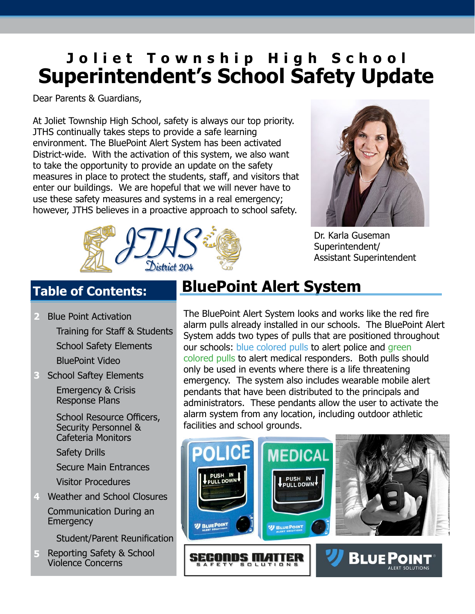# **Superintendent's School Safety Update Joliet Township High School**

Dear Parents & Guardians,

At Joliet Township High School, safety is always our top priority. JTHS continually takes steps to provide a safe learning environment. The BluePoint Alert System has been activated District-wide. With the activation of this system, we also want to take the opportunity to provide an update on the safety measures in place to protect the students, staff, and visitors that enter our buildings. We are hopeful that we will never have to use these safety measures and systems in a real emergency; however, JTHS believes in a proactive approach to school safety.



Dr. Karla Guseman Superintendent/ Assistant Superintendent



## **Table of Contents:**

- Blue Point Activation Training for Staff & Students School Safety Elements BluePoint Video **2**
- School Saftey Elements **3**

 Emergency & Crisis Response Plans

 School Resource Officers, Security Personnel & Cafeteria Monitors

Safety Drills

Secure Main Entrances

Visitor Procedures

Weather and School Closures **4** Communication During an **Emergency** 

Student/Parent Reunification

Reporting Safety & School Violence Concerns **5**

## **BluePoint Alert System**

The BluePoint Alert System looks and works like the red fire alarm pulls already installed in our schools. The BluePoint Alert System adds two types of pulls that are positioned throughout our schools: blue colored pulls to alert police and green colored pulls to alert medical responders. Both pulls should only be used in events where there is a life threatening emergency. The system also includes wearable mobile alert pendants that have been distributed to the principals and administrators. These pendants allow the user to activate the alarm system from any location, including outdoor athletic facilities and school grounds.

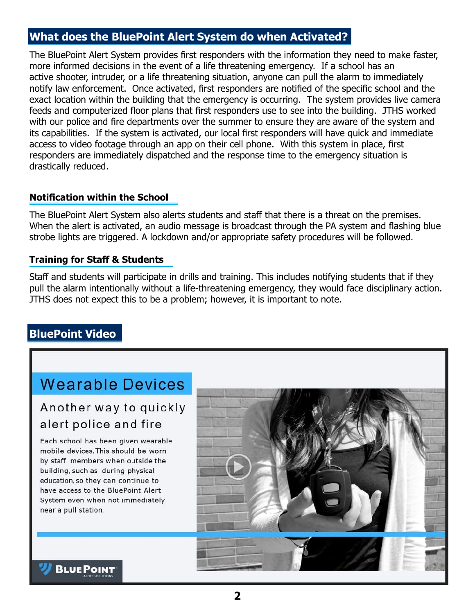## **What does the BluePoint Alert System do when Activated?**

The BluePoint Alert System provides first responders with the information they need to make faster, more informed decisions in the event of a life threatening emergency. If a school has an active shooter, intruder, or a life threatening situation, anyone can pull the alarm to immediately notify law enforcement. Once activated, first responders are notified of the specific school and the exact location within the building that the emergency is occurring. The system provides live camera feeds and computerized floor plans that first responders use to see into the building. JTHS worked with our police and fire departments over the summer to ensure they are aware of the system and its capabilities. If the system is activated, our local first responders will have quick and immediate access to video footage through an app on their cell phone. With this system in place, first responders are immediately dispatched and the response time to the emergency situation is drastically reduced.

#### **Notification within the School**

The BluePoint Alert System also alerts students and staff that there is a threat on the premises. When the alert is activated, an audio message is broadcast through the PA system and flashing blue strobe lights are triggered. A lockdown and/or appropriate safety procedures will be followed.

#### **Training for Staff & Students**

Staff and students will participate in drills and training. This includes notifying students that if they pull the alarm intentionally without a life-threatening emergency, they would face disciplinary action. JTHS does not expect this to be a problem; however, it is important to note.

## **BluePoint Video**

## **Wearable Devices**

## Another way to quickly alert police and fire

Each school has been given wearable mobile devices. This should be worn by staff members when outside the building, such as during physical education, so they can continue to have access to the BluePoint Alert System even when not immediately near a pull station.



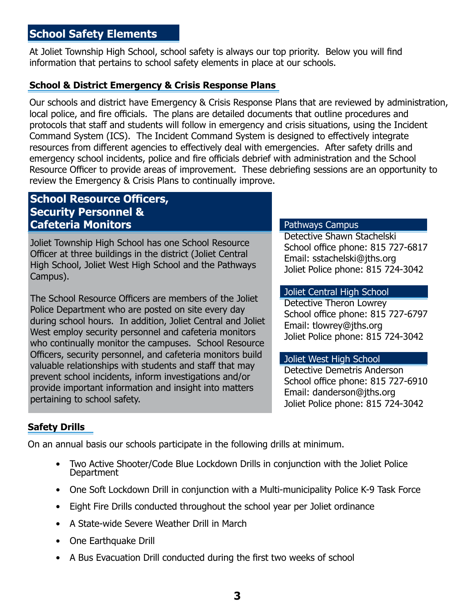## **School Safety Elements**

At Joliet Township High School, school safety is always our top priority. Below you will find information that pertains to school safety elements in place at our schools.

#### **School & District Emergency & Crisis Response Plans**

Our schools and district have Emergency & Crisis Response Plans that are reviewed by administration, local police, and fire officials. The plans are detailed documents that outline procedures and protocols that staff and students will follow in emergency and crisis situations, using the Incident Command System (ICS). The Incident Command System is designed to effectively integrate resources from different agencies to effectively deal with emergencies. After safety drills and emergency school incidents, police and fire officials debrief with administration and the School Resource Officer to provide areas of improvement. These debriefing sessions are an opportunity to review the Emergency & Crisis Plans to continually improve.

### **School Resource Officers, Security Personnel & Cafeteria Monitors**

Joliet Township High School has one School Resource Officer at three buildings in the district (Joliet Central High School, Joliet West High School and the Pathways Campus).

The School Resource Officers are members of the Joliet Police Department who are posted on site every day during school hours. In addition, Joliet Central and Joliet West employ security personnel and cafeteria monitors who continually monitor the campuses. School Resource Officers, security personnel, and cafeteria monitors build valuable relationships with students and staff that may prevent school incidents, inform investigations and/or provide important information and insight into matters pertaining to school safety.

#### Pathways Campus

Detective Shawn Stachelski School office phone: 815 727-6817 Email: sstachelski@jths.org Joliet Police phone: 815 724-3042

#### Joliet Central High School

Detective Theron Lowrey School office phone: 815 727-6797 Email: tlowrey@jths.org Joliet Police phone: 815 724-3042

#### Joliet West High School

Detective Demetris Anderson School office phone: 815 727-6910 Email: danderson@jths.org Joliet Police phone: 815 724-3042

#### **Safety Drills**

On an annual basis our schools participate in the following drills at minimum.

- Two Active Shooter/Code Blue Lockdown Drills in conjunction with the Joliet Police Department
- One Soft Lockdown Drill in conjunction with a Multi-municipality Police K-9 Task Force
- Eight Fire Drills conducted throughout the school year per Joliet ordinance
- A State-wide Severe Weather Drill in March
- One Earthquake Drill
- A Bus Evacuation Drill conducted during the first two weeks of school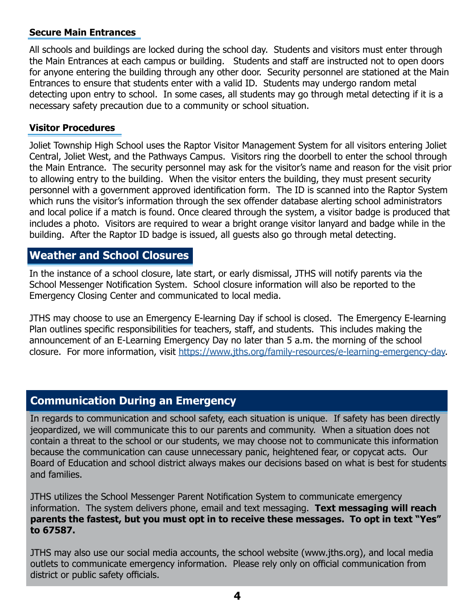#### **Secure Main Entrances**

All schools and buildings are locked during the school day. Students and visitors must enter through the Main Entrances at each campus or building. Students and staff are instructed not to open doors for anyone entering the building through any other door. Security personnel are stationed at the Main Entrances to ensure that students enter with a valid ID. Students may undergo random metal detecting upon entry to school. In some cases, all students may go through metal detecting if it is a necessary safety precaution due to a community or school situation.

#### **Visitor Procedures**

Joliet Township High School uses the Raptor Visitor Management System for all visitors entering Joliet Central, Joliet West, and the Pathways Campus. Visitors ring the doorbell to enter the school through the Main Entrance. The security personnel may ask for the visitor's name and reason for the visit prior to allowing entry to the building. When the visitor enters the building, they must present security personnel with a government approved identification form. The ID is scanned into the Raptor System which runs the visitor's information through the sex offender database alerting school administrators and local police if a match is found. Once cleared through the system, a visitor badge is produced that includes a photo. Visitors are required to wear a bright orange visitor lanyard and badge while in the building. After the Raptor ID badge is issued, all guests also go through metal detecting.

## **Weather and School Closures**

In the instance of a school closure, late start, or early dismissal, JTHS will notify parents via the School Messenger Notification System. School closure information will also be reported to the Emergency Closing Center and communicated to local media.

JTHS may choose to use an Emergency E-learning Day if school is closed. The Emergency E-learning Plan outlines specific responsibilities for teachers, staff, and students. This includes making the announcement of an E-Learning Emergency Day no later than 5 a.m. the morning of the school closure. For more information, visit [https://www.jths.org/family-resources/e-learning-emergency-day.](https://www.jths.org/family-resources/e-learning-emergency-day)

## **Communication During an Emergency**

In regards to communication and school safety, each situation is unique. If safety has been directly jeopardized, we will communicate this to our parents and community. When a situation does not contain a threat to the school or our students, we may choose not to communicate this information because the communication can cause unnecessary panic, heightened fear, or copycat acts. Our Board of Education and school district always makes our decisions based on what is best for students and families.

JTHS utilizes the School Messenger Parent Notification System to communicate emergency information. The system delivers phone, email and text messaging. **Text messaging will reach parents the fastest, but you must opt in to receive these messages. To opt in text "Yes" to 67587.**

JTHS may also use our social media accounts, the school website (www.jths.org), and local media outlets to communicate emergency information. Please rely only on official communication from district or public safety officials.